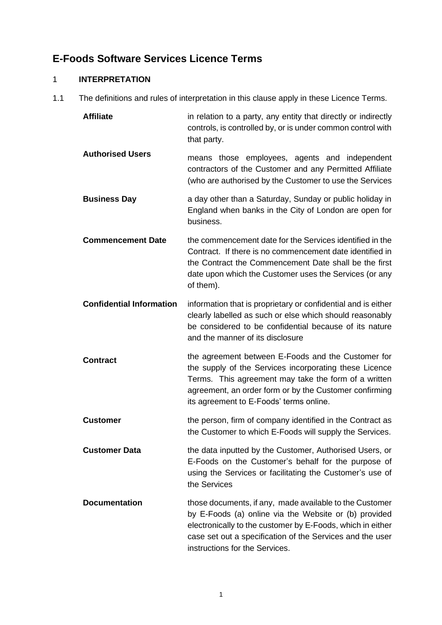# **E-Foods Software Services Licence Terms**

# 1 **INTERPRETATION**

1.1 The definitions and rules of interpretation in this clause apply in these Licence Terms.

| <b>Affiliate</b>                | in relation to a party, any entity that directly or indirectly<br>controls, is controlled by, or is under common control with<br>that party.                                                                                                                                  |
|---------------------------------|-------------------------------------------------------------------------------------------------------------------------------------------------------------------------------------------------------------------------------------------------------------------------------|
| <b>Authorised Users</b>         | means those employees, agents and independent<br>contractors of the Customer and any Permitted Affiliate<br>(who are authorised by the Customer to use the Services                                                                                                           |
| <b>Business Day</b>             | a day other than a Saturday, Sunday or public holiday in<br>England when banks in the City of London are open for<br>business.                                                                                                                                                |
| <b>Commencement Date</b>        | the commencement date for the Services identified in the<br>Contract. If there is no commencement date identified in<br>the Contract the Commencement Date shall be the first<br>date upon which the Customer uses the Services (or any<br>of them).                          |
| <b>Confidential Information</b> | information that is proprietary or confidential and is either<br>clearly labelled as such or else which should reasonably<br>be considered to be confidential because of its nature<br>and the manner of its disclosure                                                       |
| <b>Contract</b>                 | the agreement between E-Foods and the Customer for<br>the supply of the Services incorporating these Licence<br>Terms. This agreement may take the form of a written<br>agreement, an order form or by the Customer confirming<br>its agreement to E-Foods' terms online.     |
| <b>Customer</b>                 | the person, firm of company identified in the Contract as<br>the Customer to which E-Foods will supply the Services.                                                                                                                                                          |
| <b>Customer Data</b>            | the data inputted by the Customer, Authorised Users, or<br>E-Foods on the Customer's behalf for the purpose of<br>using the Services or facilitating the Customer's use of<br>the Services                                                                                    |
| <b>Documentation</b>            | those documents, if any, made available to the Customer<br>by E-Foods (a) online via the Website or (b) provided<br>electronically to the customer by E-Foods, which in either<br>case set out a specification of the Services and the user<br>instructions for the Services. |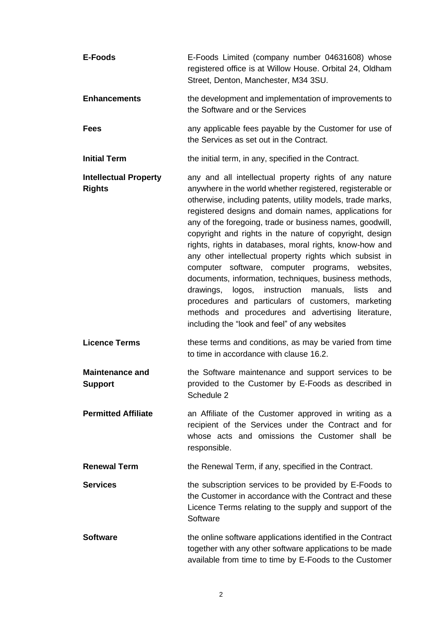| E-Foods                                       | E-Foods Limited (company number 04631608) whose<br>registered office is at Willow House. Orbital 24, Oldham<br>Street, Denton, Manchester, M34 3SU.                                                                                                                                                                                                                                                                                                                                                                                                                                                                                                                                                                                                                                                                       |
|-----------------------------------------------|---------------------------------------------------------------------------------------------------------------------------------------------------------------------------------------------------------------------------------------------------------------------------------------------------------------------------------------------------------------------------------------------------------------------------------------------------------------------------------------------------------------------------------------------------------------------------------------------------------------------------------------------------------------------------------------------------------------------------------------------------------------------------------------------------------------------------|
| <b>Enhancements</b>                           | the development and implementation of improvements to<br>the Software and or the Services                                                                                                                                                                                                                                                                                                                                                                                                                                                                                                                                                                                                                                                                                                                                 |
| <b>Fees</b>                                   | any applicable fees payable by the Customer for use of<br>the Services as set out in the Contract.                                                                                                                                                                                                                                                                                                                                                                                                                                                                                                                                                                                                                                                                                                                        |
| <b>Initial Term</b>                           | the initial term, in any, specified in the Contract.                                                                                                                                                                                                                                                                                                                                                                                                                                                                                                                                                                                                                                                                                                                                                                      |
| <b>Intellectual Property</b><br><b>Rights</b> | any and all intellectual property rights of any nature<br>anywhere in the world whether registered, registerable or<br>otherwise, including patents, utility models, trade marks,<br>registered designs and domain names, applications for<br>any of the foregoing, trade or business names, goodwill,<br>copyright and rights in the nature of copyright, design<br>rights, rights in databases, moral rights, know-how and<br>any other intellectual property rights which subsist in<br>computer software, computer programs, websites,<br>documents, information, techniques, business methods,<br>logos, instruction manuals, lists<br>drawings,<br>and<br>procedures and particulars of customers, marketing<br>methods and procedures and advertising literature,<br>including the "look and feel" of any websites |
| <b>Licence Terms</b>                          | these terms and conditions, as may be varied from time<br>to time in accordance with clause 16.2.                                                                                                                                                                                                                                                                                                                                                                                                                                                                                                                                                                                                                                                                                                                         |
| <b>Maintenance and</b><br><b>Support</b>      | the Software maintenance and support services to be<br>provided to the Customer by E-Foods as described in<br>Schedule 2                                                                                                                                                                                                                                                                                                                                                                                                                                                                                                                                                                                                                                                                                                  |
| <b>Permitted Affiliate</b>                    | an Affiliate of the Customer approved in writing as a<br>recipient of the Services under the Contract and for<br>whose acts and omissions the Customer shall be<br>responsible.                                                                                                                                                                                                                                                                                                                                                                                                                                                                                                                                                                                                                                           |
| <b>Renewal Term</b>                           | the Renewal Term, if any, specified in the Contract.                                                                                                                                                                                                                                                                                                                                                                                                                                                                                                                                                                                                                                                                                                                                                                      |
| <b>Services</b>                               | the subscription services to be provided by E-Foods to<br>the Customer in accordance with the Contract and these<br>Licence Terms relating to the supply and support of the<br>Software                                                                                                                                                                                                                                                                                                                                                                                                                                                                                                                                                                                                                                   |
| <b>Software</b>                               | the online software applications identified in the Contract<br>together with any other software applications to be made<br>available from time to time by E-Foods to the Customer                                                                                                                                                                                                                                                                                                                                                                                                                                                                                                                                                                                                                                         |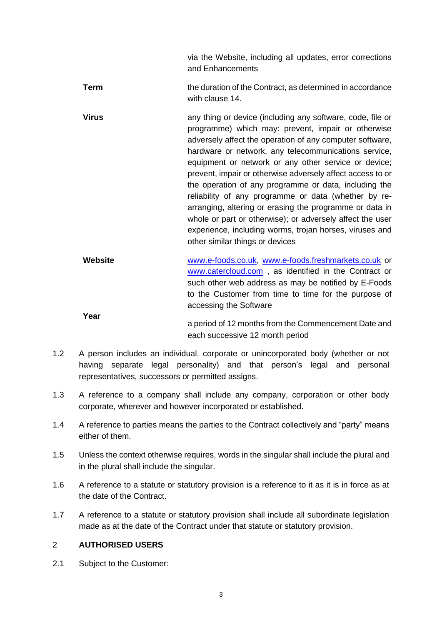via the Website, including all updates, error corrections and Enhancements

- **Term** the duration of the Contract, as determined in accordance with clause 14.
- **Virus any thing or device (including any software, code, file or** programme) which may: prevent, impair or otherwise adversely affect the operation of any computer software, hardware or network, any telecommunications service, equipment or network or any other service or device; prevent, impair or otherwise adversely affect access to or the operation of any programme or data, including the reliability of any programme or data (whether by rearranging, altering or erasing the programme or data in whole or part or otherwise); or adversely affect the user experience, including worms, trojan horses, viruses and other similar things or devices
- **Website** [www.e-foods.co.uk,](http://www.e-foods.co.uk/) [www.e-foods.freshmarkets.co.uk](http://www.e-foods.freshmarkets.co.uk/) or [www.catercloud.com](http://www.catercloud.com/) , as identified in the Contract or such other web address as may be notified by E-Foods to the Customer from time to time for the purpose of accessing the Software

**Year** a period of 12 months from the Commencement Date and each successive 12 month period

- 1.2 A person includes an individual, corporate or unincorporated body (whether or not having separate legal personality) and that person's legal and personal representatives, successors or permitted assigns.
- 1.3 A reference to a company shall include any company, corporation or other body corporate, wherever and however incorporated or established.
- 1.4 A reference to parties means the parties to the Contract collectively and "party" means either of them.
- 1.5 Unless the context otherwise requires, words in the singular shall include the plural and in the plural shall include the singular.
- 1.6 A reference to a statute or statutory provision is a reference to it as it is in force as at the date of the Contract.
- 1.7 A reference to a statute or statutory provision shall include all subordinate legislation made as at the date of the Contract under that statute or statutory provision.

# <span id="page-2-0"></span>2 **AUTHORISED USERS**

2.1 Subject to the Customer: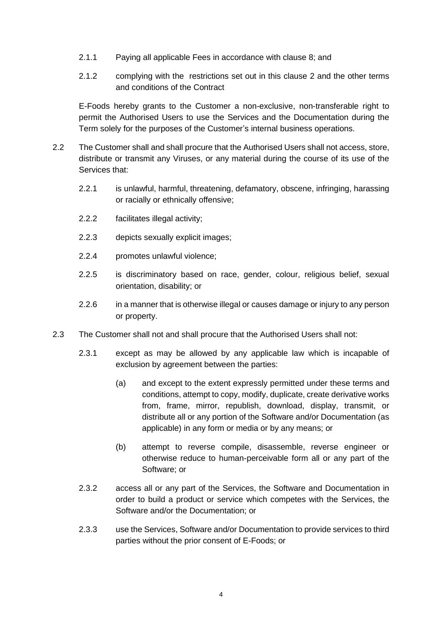- 2.1.1 Paying all applicable Fees in accordance with clause [8;](#page-8-0) and
- 2.1.2 complying with the restrictions set out in this clause [2](#page-2-0) and the other terms and conditions of the Contract

E-Foods hereby grants to the Customer a non-exclusive, non-transferable right to permit the Authorised Users to use the Services and the Documentation during the Term solely for the purposes of the Customer's internal business operations.

- <span id="page-3-0"></span>2.2 The Customer shall and shall procure that the Authorised Users shall not access, store, distribute or transmit any Viruses, or any material during the course of its use of the Services that:
	- 2.2.1 is unlawful, harmful, threatening, defamatory, obscene, infringing, harassing or racially or ethnically offensive;
	- 2.2.2 facilitates illegal activity;
	- 2.2.3 depicts sexually explicit images;
	- 2.2.4 promotes unlawful violence;
	- 2.2.5 is discriminatory based on race, gender, colour, religious belief, sexual orientation, disability; or
	- 2.2.6 in a manner that is otherwise illegal or causes damage or injury to any person or property.
- 2.3 The Customer shall not and shall procure that the Authorised Users shall not:
	- 2.3.1 except as may be allowed by any applicable law which is incapable of exclusion by agreement between the parties:
		- (a) and except to the extent expressly permitted under these terms and conditions, attempt to copy, modify, duplicate, create derivative works from, frame, mirror, republish, download, display, transmit, or distribute all or any portion of the Software and/or Documentation (as applicable) in any form or media or by any means; or
		- (b) attempt to reverse compile, disassemble, reverse engineer or otherwise reduce to human-perceivable form all or any part of the Software; or
	- 2.3.2 access all or any part of the Services, the Software and Documentation in order to build a product or service which competes with the Services, the Software and/or the Documentation; or
	- 2.3.3 use the Services, Software and/or Documentation to provide services to third parties without the prior consent of E-Foods; or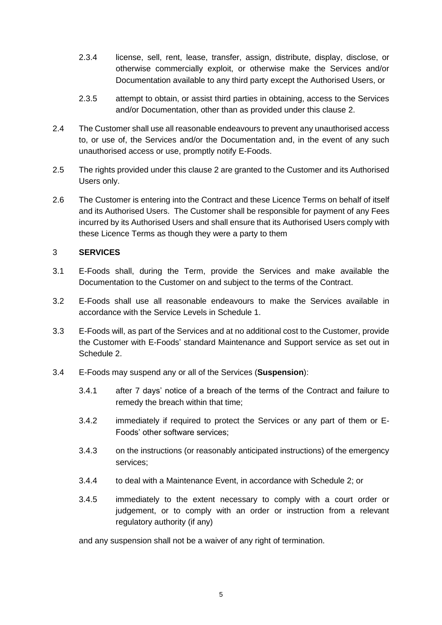- 2.3.4 license, sell, rent, lease, transfer, assign, distribute, display, disclose, or otherwise commercially exploit, or otherwise make the Services and/or Documentation available to any third party except the Authorised Users, or
- 2.3.5 attempt to obtain, or assist third parties in obtaining, access to the Services and/or Documentation, other than as provided under this clause [2.](#page-2-0)
- 2.4 The Customer shall use all reasonable endeavours to prevent any unauthorised access to, or use of, the Services and/or the Documentation and, in the event of any such unauthorised access or use, promptly notify E-Foods.
- 2.5 The rights provided under this clause [2](#page-2-0) are granted to the Customer and its Authorised Users only.
- 2.6 The Customer is entering into the Contract and these Licence Terms on behalf of itself and its Authorised Users. The Customer shall be responsible for payment of any Fees incurred by its Authorised Users and shall ensure that its Authorised Users comply with these Licence Terms as though they were a party to them

## 3 **SERVICES**

- 3.1 E-Foods shall, during the Term, provide the Services and make available the Documentation to the Customer on and subject to the terms of the Contract.
- 3.2 E-Foods shall use all reasonable endeavours to make the Services available in accordance with the Service Levels in Schedule 1.
- 3.3 E-Foods will, as part of the Services and at no additional cost to the Customer, provide the Customer with E-Foods' standard Maintenance and Support service as set out in [Schedule](#page-18-0) 2.
- 3.4 E-Foods may suspend any or all of the Services (**Suspension**):
	- 3.4.1 after 7 days' notice of a breach of the terms of the Contract and failure to remedy the breach within that time;
	- 3.4.2 immediately if required to protect the Services or any part of them or E-Foods' other software services;
	- 3.4.3 on the instructions (or reasonably anticipated instructions) of the emergency services;
	- 3.4.4 to deal with a Maintenance Event, in accordance with Schedule 2; or
	- 3.4.5 immediately to the extent necessary to comply with a court order or judgement, or to comply with an order or instruction from a relevant regulatory authority (if any)

and any suspension shall not be a waiver of any right of termination.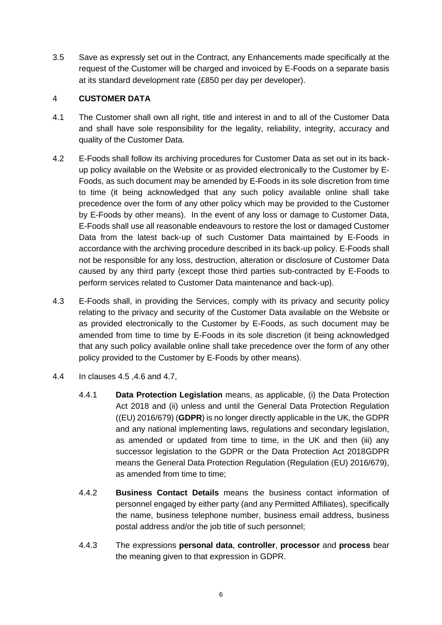3.5 Save as expressly set out in the Contract, any Enhancements made specifically at the request of the Customer will be charged and invoiced by E-Foods on a separate basis at its standard development rate (£850 per day per developer).

# 4 **CUSTOMER DATA**

- 4.1 The Customer shall own all right, title and interest in and to all of the Customer Data and shall have sole responsibility for the legality, reliability, integrity, accuracy and quality of the Customer Data.
- 4.2 E-Foods shall follow its archiving procedures for Customer Data as set out in its backup policy available on the Website or as provided electronically to the Customer by E-Foods, as such document may be amended by E-Foods in its sole discretion from time to time (it being acknowledged that any such policy available online shall take precedence over the form of any other policy which may be provided to the Customer by E-Foods by other means). In the event of any loss or damage to Customer Data, E-Foods shall use all reasonable endeavours to restore the lost or damaged Customer Data from the latest back-up of such Customer Data maintained by E-Foods in accordance with the archiving procedure described in its back-up policy. E-Foods shall not be responsible for any loss, destruction, alteration or disclosure of Customer Data caused by any third party (except those third parties sub-contracted by E-Foods to perform services related to Customer Data maintenance and back-up).
- 4.3 E-Foods shall, in providing the Services, comply with its privacy and security policy relating to the privacy and security of the Customer Data available on the Website or as provided electronically to the Customer by E-Foods, as such document may be amended from time to time by E-Foods in its sole discretion (it being acknowledged that any such policy available online shall take precedence over the form of any other policy provided to the Customer by E-Foods by other means).
- 4.4 In clauses 4.5 ,4.6 and 4.7,
	- 4.4.1 **Data Protection Legislation** means, as applicable, (i) the Data Protection Act 2018 and (ii) unless and until the General Data Protection Regulation ((EU) 2016/679) (**GDPR**) is no longer directly applicable in the UK, the GDPR and any national implementing laws, regulations and secondary legislation, as amended or updated from time to time, in the UK and then (iii) any successor legislation to the GDPR or the Data Protection Act 2018GDPR means the General Data Protection Regulation (Regulation (EU) 2016/679), as amended from time to time;
	- 4.4.2 **Business Contact Details** means the business contact information of personnel engaged by either party (and any Permitted Affiliates), specifically the name, business telephone number, business email address, business postal address and/or the job title of such personnel;
	- 4.4.3 The expressions **personal data**, **controller**, **processor** and **process** bear the meaning given to that expression in GDPR.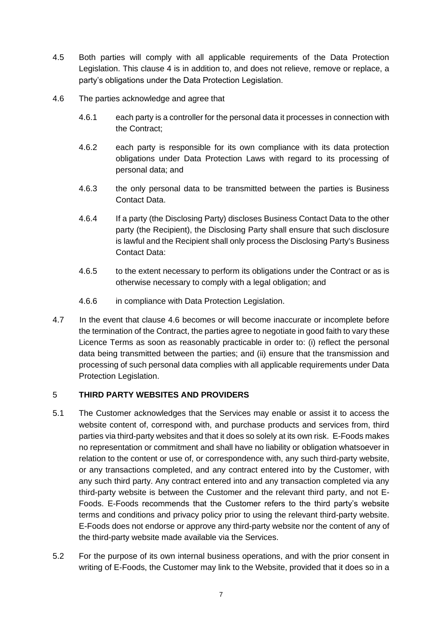- 4.5 Both parties will comply with all applicable requirements of the Data Protection Legislation. This clause 4 is in addition to, and does not relieve, remove or replace, a party's obligations under the Data Protection Legislation.
- 4.6 The parties acknowledge and agree that
	- 4.6.1 each party is a controller for the personal data it processes in connection with the Contract;
	- 4.6.2 each party is responsible for its own compliance with its data protection obligations under Data Protection Laws with regard to its processing of personal data; and
	- 4.6.3 the only personal data to be transmitted between the parties is Business Contact Data.
	- 4.6.4 If a party (the Disclosing Party) discloses Business Contact Data to the other party (the Recipient), the Disclosing Party shall ensure that such disclosure is lawful and the Recipient shall only process the Disclosing Party's Business Contact Data:
	- 4.6.5 to the extent necessary to perform its obligations under the Contract or as is otherwise necessary to comply with a legal obligation; and
	- 4.6.6 in compliance with Data Protection Legislation.
- 4.7 In the event that clause 4.6 becomes or will become inaccurate or incomplete before the termination of the Contract, the parties agree to negotiate in good faith to vary these Licence Terms as soon as reasonably practicable in order to: (i) reflect the personal data being transmitted between the parties; and (ii) ensure that the transmission and processing of such personal data complies with all applicable requirements under Data Protection Legislation.

# 5 **THIRD PARTY WEBSITES AND PROVIDERS**

- 5.1 The Customer acknowledges that the Services may enable or assist it to access the website content of, correspond with, and purchase products and services from, third parties via third-party websites and that it does so solely at its own risk. E-Foods makes no representation or commitment and shall have no liability or obligation whatsoever in relation to the content or use of, or correspondence with, any such third-party website, or any transactions completed, and any contract entered into by the Customer, with any such third party. Any contract entered into and any transaction completed via any third-party website is between the Customer and the relevant third party, and not E-Foods. E-Foods recommends that the Customer refers to the third party's website terms and conditions and privacy policy prior to using the relevant third-party website. E-Foods does not endorse or approve any third-party website nor the content of any of the third-party website made available via the Services.
- 5.2 For the purpose of its own internal business operations, and with the prior consent in writing of E-Foods, the Customer may link to the Website, provided that it does so in a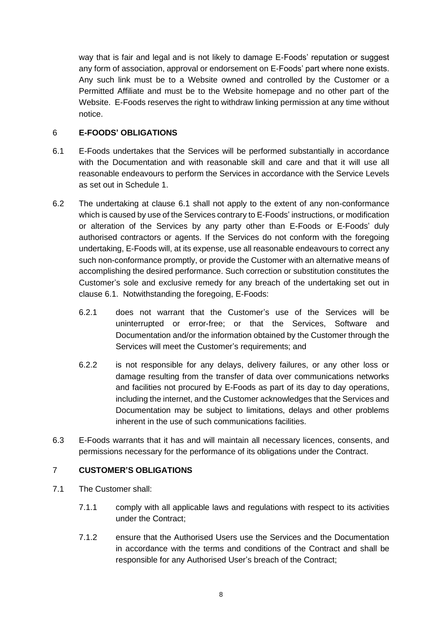way that is fair and legal and is not likely to damage E-Foods' reputation or suggest any form of association, approval or endorsement on E-Foods' part where none exists. Any such link must be to a Website owned and controlled by the Customer or a Permitted Affiliate and must be to the Website homepage and no other part of the Website. E-Foods reserves the right to withdraw linking permission at any time without notice.

## 6 **E-FOODS' OBLIGATIONS**

- <span id="page-7-0"></span>6.1 E-Foods undertakes that the Services will be performed substantially in accordance with the Documentation and with reasonable skill and care and that it will use all reasonable endeavours to perform the Services in accordance with the Service Levels as set out in Schedule 1.
- 6.2 The undertaking at clause [6.1](#page-7-0) shall not apply to the extent of any non-conformance which is caused by use of the Services contrary to E-Foods' instructions, or modification or alteration of the Services by any party other than E-Foods or E-Foods' duly authorised contractors or agents. If the Services do not conform with the foregoing undertaking, E-Foods will, at its expense, use all reasonable endeavours to correct any such non-conformance promptly, or provide the Customer with an alternative means of accomplishing the desired performance. Such correction or substitution constitutes the Customer's sole and exclusive remedy for any breach of the undertaking set out in clause [6.1.](#page-7-0) Notwithstanding the foregoing, E-Foods:
	- 6.2.1 does not warrant that the Customer's use of the Services will be uninterrupted or error-free; or that the Services, Software and Documentation and/or the information obtained by the Customer through the Services will meet the Customer's requirements; and
	- 6.2.2 is not responsible for any delays, delivery failures, or any other loss or damage resulting from the transfer of data over communications networks and facilities not procured by E-Foods as part of its day to day operations, including the internet, and the Customer acknowledges that the Services and Documentation may be subject to limitations, delays and other problems inherent in the use of such communications facilities.
- 6.3 E-Foods warrants that it has and will maintain all necessary licences, consents, and permissions necessary for the performance of its obligations under the Contract.

# 7 **CUSTOMER'S OBLIGATIONS**

- 7.1 The Customer shall:
	- 7.1.1 comply with all applicable laws and regulations with respect to its activities under the Contract;
	- 7.1.2 ensure that the Authorised Users use the Services and the Documentation in accordance with the terms and conditions of the Contract and shall be responsible for any Authorised User's breach of the Contract;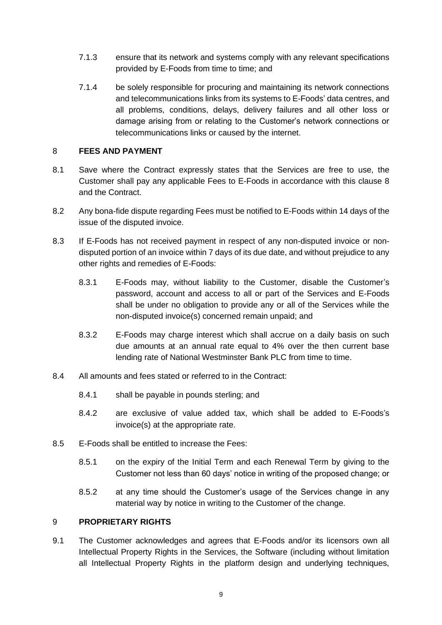- 7.1.3 ensure that its network and systems comply with any relevant specifications provided by E-Foods from time to time; and
- 7.1.4 be solely responsible for procuring and maintaining its network connections and telecommunications links from its systems to E-Foods' data centres, and all problems, conditions, delays, delivery failures and all other loss or damage arising from or relating to the Customer's network connections or telecommunications links or caused by the internet.

## <span id="page-8-0"></span>8 **FEES AND PAYMENT**

- 8.1 Save where the Contract expressly states that the Services are free to use, the Customer shall pay any applicable Fees to E-Foods in accordance with this clause [8](#page-8-0) and the Contract.
- 8.2 Any bona-fide dispute regarding Fees must be notified to E-Foods within 14 days of the issue of the disputed invoice.
- 8.3 If E-Foods has not received payment in respect of any non-disputed invoice or nondisputed portion of an invoice within 7 days of its due date, and without prejudice to any other rights and remedies of E-Foods:
	- 8.3.1 E-Foods may, without liability to the Customer, disable the Customer's password, account and access to all or part of the Services and E-Foods shall be under no obligation to provide any or all of the Services while the non-disputed invoice(s) concerned remain unpaid; and
	- 8.3.2 E-Foods may charge interest which shall accrue on a daily basis on such due amounts at an annual rate equal to 4% over the then current base lending rate of National Westminster Bank PLC from time to time.
- 8.4 All amounts and fees stated or referred to in the Contract:
	- 8.4.1 shall be payable in pounds sterling; and
	- 8.4.2 are exclusive of value added tax, which shall be added to E-Foods's invoice(s) at the appropriate rate.
- 8.5 E-Foods shall be entitled to increase the Fees:
	- 8.5.1 on the expiry of the Initial Term and each Renewal Term by giving to the Customer not less than 60 days' notice in writing of the proposed change; or
	- 8.5.2 at any time should the Customer's usage of the Services change in any material way by notice in writing to the Customer of the change.

# 9 **PROPRIETARY RIGHTS**

9.1 The Customer acknowledges and agrees that E-Foods and/or its licensors own all Intellectual Property Rights in the Services, the Software (including without limitation all Intellectual Property Rights in the platform design and underlying techniques,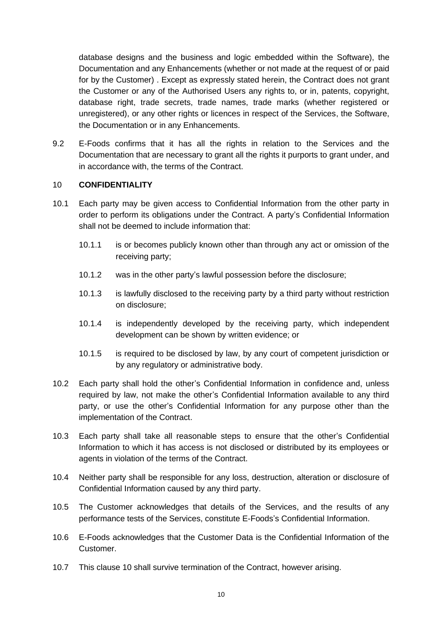database designs and the business and logic embedded within the Software), the Documentation and any Enhancements (whether or not made at the request of or paid for by the Customer) . Except as expressly stated herein, the Contract does not grant the Customer or any of the Authorised Users any rights to, or in, patents, copyright, database right, trade secrets, trade names, trade marks (whether registered or unregistered), or any other rights or licences in respect of the Services, the Software, the Documentation or in any Enhancements.

9.2 E-Foods confirms that it has all the rights in relation to the Services and the Documentation that are necessary to grant all the rights it purports to grant under, and in accordance with, the terms of the Contract.

## <span id="page-9-0"></span>10 **CONFIDENTIALITY**

- 10.1 Each party may be given access to Confidential Information from the other party in order to perform its obligations under the Contract. A party's Confidential Information shall not be deemed to include information that:
	- 10.1.1 is or becomes publicly known other than through any act or omission of the receiving party;
	- 10.1.2 was in the other party's lawful possession before the disclosure;
	- 10.1.3 is lawfully disclosed to the receiving party by a third party without restriction on disclosure;
	- 10.1.4 is independently developed by the receiving party, which independent development can be shown by written evidence; or
	- 10.1.5 is required to be disclosed by law, by any court of competent jurisdiction or by any regulatory or administrative body.
- 10.2 Each party shall hold the other's Confidential Information in confidence and, unless required by law, not make the other's Confidential Information available to any third party, or use the other's Confidential Information for any purpose other than the implementation of the Contract.
- 10.3 Each party shall take all reasonable steps to ensure that the other's Confidential Information to which it has access is not disclosed or distributed by its employees or agents in violation of the terms of the Contract.
- 10.4 Neither party shall be responsible for any loss, destruction, alteration or disclosure of Confidential Information caused by any third party.
- 10.5 The Customer acknowledges that details of the Services, and the results of any performance tests of the Services, constitute E-Foods's Confidential Information.
- 10.6 E-Foods acknowledges that the Customer Data is the Confidential Information of the Customer.
- 10.7 This clause [10](#page-9-0) shall survive termination of the Contract, however arising.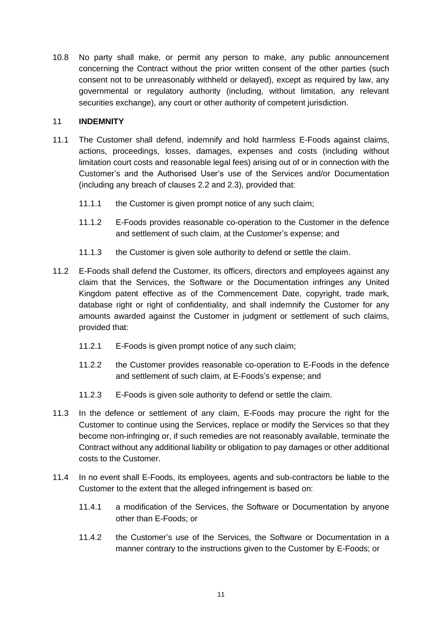10.8 No party shall make, or permit any person to make, any public announcement concerning the Contract without the prior written consent of the other parties (such consent not to be unreasonably withheld or delayed), except as required by law, any governmental or regulatory authority (including, without limitation, any relevant securities exchange), any court or other authority of competent jurisdiction.

## 11 **INDEMNITY**

- 11.1 The Customer shall defend, indemnify and hold harmless E-Foods against claims, actions, proceedings, losses, damages, expenses and costs (including without limitation court costs and reasonable legal fees) arising out of or in connection with the Customer's and the Authorised User's use of the Services and/or Documentation (including any breach of clauses [2.2](#page-3-0) and 2.3), provided that:
	- 11.1.1 the Customer is given prompt notice of any such claim;
	- 11.1.2 E-Foods provides reasonable co-operation to the Customer in the defence and settlement of such claim, at the Customer's expense; and
	- 11.1.3 the Customer is given sole authority to defend or settle the claim.
- <span id="page-10-0"></span>11.2 E-Foods shall defend the Customer, its officers, directors and employees against any claim that the Services, the Software or the Documentation infringes any United Kingdom patent effective as of the Commencement Date, copyright, trade mark, database right or right of confidentiality, and shall indemnify the Customer for any amounts awarded against the Customer in judgment or settlement of such claims, provided that:
	- 11.2.1 E-Foods is given prompt notice of any such claim;
	- 11.2.2 the Customer provides reasonable co-operation to E-Foods in the defence and settlement of such claim, at E-Foods's expense; and
	- 11.2.3 E-Foods is given sole authority to defend or settle the claim.
- 11.3 In the defence or settlement of any claim, E-Foods may procure the right for the Customer to continue using the Services, replace or modify the Services so that they become non-infringing or, if such remedies are not reasonably available, terminate the Contract without any additional liability or obligation to pay damages or other additional costs to the Customer.
- 11.4 In no event shall E-Foods, its employees, agents and sub-contractors be liable to the Customer to the extent that the alleged infringement is based on:
	- 11.4.1 a modification of the Services, the Software or Documentation by anyone other than E-Foods; or
	- 11.4.2 the Customer's use of the Services, the Software or Documentation in a manner contrary to the instructions given to the Customer by E-Foods; or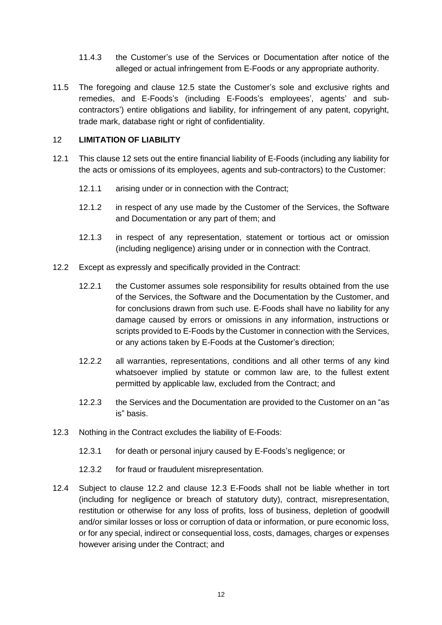- 11.4.3 the Customer's use of the Services or Documentation after notice of the alleged or actual infringement from E-Foods or any appropriate authority.
- 11.5 The foregoing and clause [12.5](#page-12-0) state the Customer's sole and exclusive rights and remedies, and E-Foods's (including E-Foods's employees', agents' and subcontractors') entire obligations and liability, for infringement of any patent, copyright, trade mark, database right or right of confidentiality.

## <span id="page-11-0"></span>12 **LIMITATION OF LIABILITY**

- 12.1 This clause [12](#page-11-0) sets out the entire financial liability of E-Foods (including any liability for the acts or omissions of its employees, agents and sub-contractors) to the Customer:
	- 12.1.1 arising under or in connection with the Contract;
	- 12.1.2 in respect of any use made by the Customer of the Services, the Software and Documentation or any part of them; and
	- 12.1.3 in respect of any representation, statement or tortious act or omission (including negligence) arising under or in connection with the Contract.
- <span id="page-11-1"></span>12.2 Except as expressly and specifically provided in the Contract:
	- 12.2.1 the Customer assumes sole responsibility for results obtained from the use of the Services, the Software and the Documentation by the Customer, and for conclusions drawn from such use. E-Foods shall have no liability for any damage caused by errors or omissions in any information, instructions or scripts provided to E-Foods by the Customer in connection with the Services, or any actions taken by E-Foods at the Customer's direction;
	- 12.2.2 all warranties, representations, conditions and all other terms of any kind whatsoever implied by statute or common law are, to the fullest extent permitted by applicable law, excluded from the Contract; and
	- 12.2.3 the Services and the Documentation are provided to the Customer on an "as is" basis.
- <span id="page-11-2"></span>12.3 Nothing in the Contract excludes the liability of E-Foods:
	- 12.3.1 for death or personal injury caused by E-Foods's negligence; or
	- 12.3.2 for fraud or fraudulent misrepresentation.
- 12.4 Subject to clause [12.2](#page-11-1) and clause [12.3](#page-11-2) E-Foods shall not be liable whether in tort (including for negligence or breach of statutory duty), contract, misrepresentation, restitution or otherwise for any loss of profits, loss of business, depletion of goodwill and/or similar losses or loss or corruption of data or information, or pure economic loss, or for any special, indirect or consequential loss, costs, damages, charges or expenses however arising under the Contract; and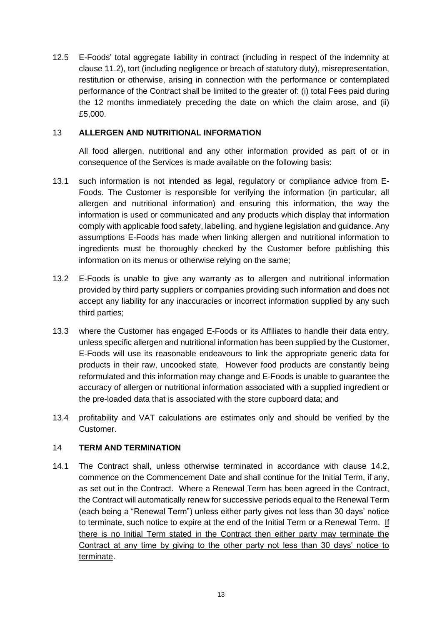<span id="page-12-0"></span>12.5 E-Foods' total aggregate liability in contract (including in respect of the indemnity at clause [11.2\)](#page-10-0), tort (including negligence or breach of statutory duty), misrepresentation, restitution or otherwise, arising in connection with the performance or contemplated performance of the Contract shall be limited to the greater of: (i) total Fees paid during the 12 months immediately preceding the date on which the claim arose, and (ii) £5,000.

## 13 **ALLERGEN AND NUTRITIONAL INFORMATION**

All food allergen, nutritional and any other information provided as part of or in consequence of the Services is made available on the following basis:

- 13.1 such information is not intended as legal, regulatory or compliance advice from E-Foods. The Customer is responsible for verifying the information (in particular, all allergen and nutritional information) and ensuring this information, the way the information is used or communicated and any products which display that information comply with applicable food safety, labelling, and hygiene legislation and guidance. Any assumptions E-Foods has made when linking allergen and nutritional information to ingredients must be thoroughly checked by the Customer before publishing this information on its menus or otherwise relying on the same;
- 13.2 E-Foods is unable to give any warranty as to allergen and nutritional information provided by third party suppliers or companies providing such information and does not accept any liability for any inaccuracies or incorrect information supplied by any such third parties;
- 13.3 where the Customer has engaged E-Foods or its Affiliates to handle their data entry, unless specific allergen and nutritional information has been supplied by the Customer, E-Foods will use its reasonable endeavours to link the appropriate generic data for products in their raw, uncooked state. However food products are constantly being reformulated and this information may change and E-Foods is unable to guarantee the accuracy of allergen or nutritional information associated with a supplied ingredient or the pre-loaded data that is associated with the store cupboard data; and
- 13.4 profitability and VAT calculations are estimates only and should be verified by the Customer.

## 14 **TERM AND TERMINATION**

14.1 The Contract shall, unless otherwise terminated in accordance with clause 14.2, commence on the Commencement Date and shall continue for the Initial Term, if any, as set out in the Contract. Where a Renewal Term has been agreed in the Contract, the Contract will automatically renew for successive periods equal to the Renewal Term (each being a "Renewal Term") unless either party gives not less than 30 days' notice to terminate, such notice to expire at the end of the Initial Term or a Renewal Term. If there is no Initial Term stated in the Contract then either party may terminate the Contract at any time by giving to the other party not less than 30 days' notice to terminate.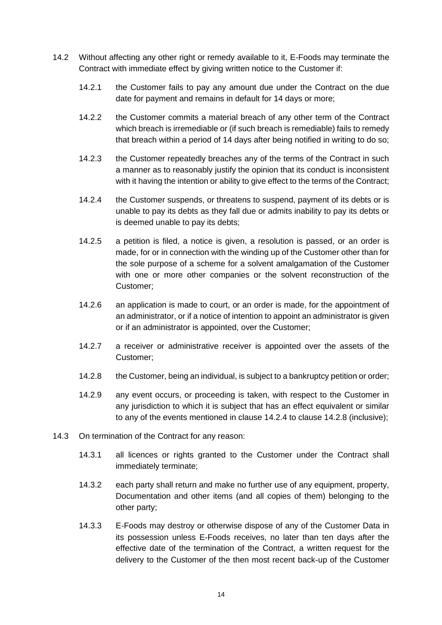- 14.2 Without affecting any other right or remedy available to it, E-Foods may terminate the Contract with immediate effect by giving written notice to the Customer if:
	- 14.2.1 the Customer fails to pay any amount due under the Contract on the due date for payment and remains in default for 14 days or more;
	- 14.2.2 the Customer commits a material breach of any other term of the Contract which breach is irremediable or (if such breach is remediable) fails to remedy that breach within a period of 14 days after being notified in writing to do so;
	- 14.2.3 the Customer repeatedly breaches any of the terms of the Contract in such a manner as to reasonably justify the opinion that its conduct is inconsistent with it having the intention or ability to give effect to the terms of the Contract;
	- 14.2.4 the Customer suspends, or threatens to suspend, payment of its debts or is unable to pay its debts as they fall due or admits inability to pay its debts or is deemed unable to pay its debts;
	- 14.2.5 a petition is filed, a notice is given, a resolution is passed, or an order is made, for or in connection with the winding up of the Customer other than for the sole purpose of a scheme for a solvent amalgamation of the Customer with one or more other companies or the solvent reconstruction of the Customer;
	- 14.2.6 an application is made to court, or an order is made, for the appointment of an administrator, or if a notice of intention to appoint an administrator is given or if an administrator is appointed, over the Customer;
	- 14.2.7 a receiver or administrative receiver is appointed over the assets of the Customer;
	- 14.2.8 the Customer, being an individual, is subject to a bankruptcy petition or order;
	- 14.2.9 any event occurs, or proceeding is taken, with respect to the Customer in any jurisdiction to which it is subject that has an effect equivalent or similar to any of the events mentioned in clause 14.2.4 to clause 14.2.8 (inclusive);
- 14.3 On termination of the Contract for any reason:
	- 14.3.1 all licences or rights granted to the Customer under the Contract shall immediately terminate;
	- 14.3.2 each party shall return and make no further use of any equipment, property, Documentation and other items (and all copies of them) belonging to the other party;
	- 14.3.3 E-Foods may destroy or otherwise dispose of any of the Customer Data in its possession unless E-Foods receives, no later than ten days after the effective date of the termination of the Contract, a written request for the delivery to the Customer of the then most recent back-up of the Customer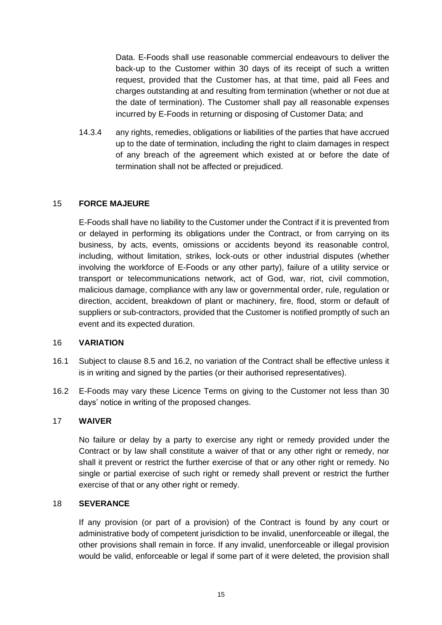Data. E-Foods shall use reasonable commercial endeavours to deliver the back-up to the Customer within 30 days of its receipt of such a written request, provided that the Customer has, at that time, paid all Fees and charges outstanding at and resulting from termination (whether or not due at the date of termination). The Customer shall pay all reasonable expenses incurred by E-Foods in returning or disposing of Customer Data; and

14.3.4 any rights, remedies, obligations or liabilities of the parties that have accrued up to the date of termination, including the right to claim damages in respect of any breach of the agreement which existed at or before the date of termination shall not be affected or prejudiced.

## 15 **FORCE MAJEURE**

E-Foods shall have no liability to the Customer under the Contract if it is prevented from or delayed in performing its obligations under the Contract, or from carrying on its business, by acts, events, omissions or accidents beyond its reasonable control, including, without limitation, strikes, lock-outs or other industrial disputes (whether involving the workforce of E-Foods or any other party), failure of a utility service or transport or telecommunications network, act of God, war, riot, civil commotion, malicious damage, compliance with any law or governmental order, rule, regulation or direction, accident, breakdown of plant or machinery, fire, flood, storm or default of suppliers or sub-contractors, provided that the Customer is notified promptly of such an event and its expected duration.

## 16 **VARIATION**

- 16.1 Subject to clause 8.5 and 16.2, no variation of the Contract shall be effective unless it is in writing and signed by the parties (or their authorised representatives).
- 16.2 E-Foods may vary these Licence Terms on giving to the Customer not less than 30 days' notice in writing of the proposed changes.

## 17 **WAIVER**

No failure or delay by a party to exercise any right or remedy provided under the Contract or by law shall constitute a waiver of that or any other right or remedy, nor shall it prevent or restrict the further exercise of that or any other right or remedy. No single or partial exercise of such right or remedy shall prevent or restrict the further exercise of that or any other right or remedy.

## 18 **SEVERANCE**

If any provision (or part of a provision) of the Contract is found by any court or administrative body of competent jurisdiction to be invalid, unenforceable or illegal, the other provisions shall remain in force. If any invalid, unenforceable or illegal provision would be valid, enforceable or legal if some part of it were deleted, the provision shall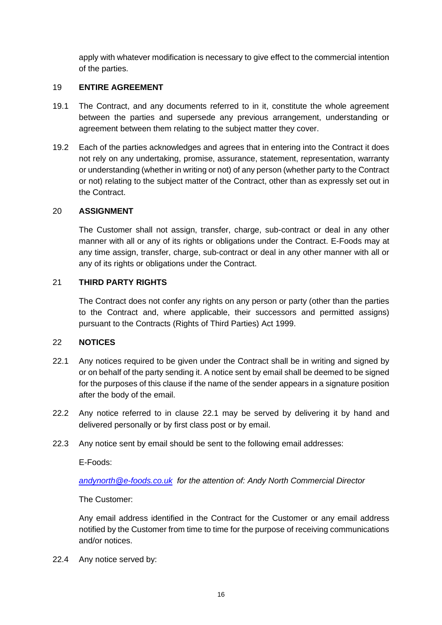apply with whatever modification is necessary to give effect to the commercial intention of the parties.

## 19 **ENTIRE AGREEMENT**

- 19.1 The Contract, and any documents referred to in it, constitute the whole agreement between the parties and supersede any previous arrangement, understanding or agreement between them relating to the subject matter they cover.
- 19.2 Each of the parties acknowledges and agrees that in entering into the Contract it does not rely on any undertaking, promise, assurance, statement, representation, warranty or understanding (whether in writing or not) of any person (whether party to the Contract or not) relating to the subject matter of the Contract, other than as expressly set out in the Contract.

## 20 **ASSIGNMENT**

The Customer shall not assign, transfer, charge, sub-contract or deal in any other manner with all or any of its rights or obligations under the Contract. E-Foods may at any time assign, transfer, charge, sub-contract or deal in any other manner with all or any of its rights or obligations under the Contract.

# 21 **THIRD PARTY RIGHTS**

The Contract does not confer any rights on any person or party (other than the parties to the Contract and, where applicable, their successors and permitted assigns) pursuant to the Contracts (Rights of Third Parties) Act 1999.

## 22 **NOTICES**

- <span id="page-15-0"></span>22.1 Any notices required to be given under the Contract shall be in writing and signed by or on behalf of the party sending it. A notice sent by email shall be deemed to be signed for the purposes of this clause if the name of the sender appears in a signature position after the body of the email.
- 22.2 Any notice referred to in clause [22.1](#page-15-0) may be served by delivering it by hand and delivered personally or by first class post or by email.
- 22.3 Any notice sent by email should be sent to the following email addresses:

E-Foods:

*[andynorth@e-foods.co.uk](mailto:andynorth@e-foods.co.uk) for the attention of: Andy North Commercial Director*

The Customer:

Any email address identified in the Contract for the Customer or any email address notified by the Customer from time to time for the purpose of receiving communications and/or notices.

22.4 Any notice served by: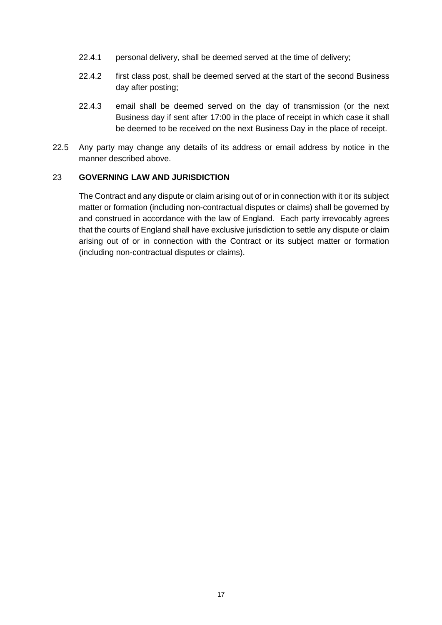- 22.4.1 personal delivery, shall be deemed served at the time of delivery;
- 22.4.2 first class post, shall be deemed served at the start of the second Business day after posting;
- 22.4.3 email shall be deemed served on the day of transmission (or the next Business day if sent after 17:00 in the place of receipt in which case it shall be deemed to be received on the next Business Day in the place of receipt.
- 22.5 Any party may change any details of its address or email address by notice in the manner described above.

#### 23 **GOVERNING LAW AND JURISDICTION**

The Contract and any dispute or claim arising out of or in connection with it or its subject matter or formation (including non-contractual disputes or claims) shall be governed by and construed in accordance with the law of England. Each party irrevocably agrees that the courts of England shall have exclusive jurisdiction to settle any dispute or claim arising out of or in connection with the Contract or its subject matter or formation (including non-contractual disputes or claims).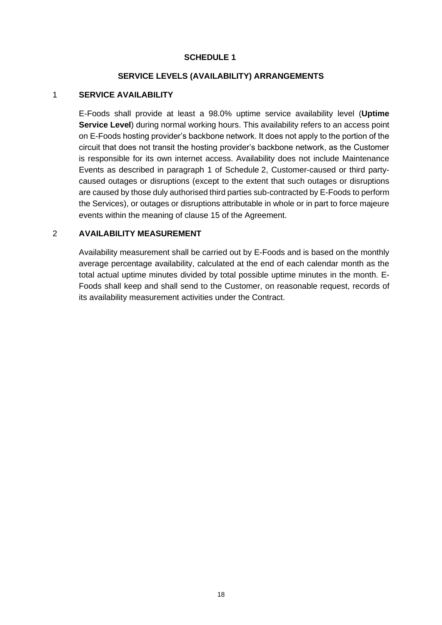#### **SCHEDULE 1**

#### **SERVICE LEVELS (AVAILABILITY) ARRANGEMENTS**

#### 1 **SERVICE AVAILABILITY**

E-Foods shall provide at least a 98.0% uptime service availability level (**Uptime Service Level**) during normal working hours. This availability refers to an access point on E-Foods hosting provider's backbone network. It does not apply to the portion of the circuit that does not transit the hosting provider's backbone network, as the Customer is responsible for its own internet access. Availability does not include Maintenance Events as described in paragraph 1 of [Schedule](#page-18-0) 2, Customer-caused or third partycaused outages or disruptions (except to the extent that such outages or disruptions are caused by those duly authorised third parties sub-contracted by E-Foods to perform the Services), or outages or disruptions attributable in whole or in part to force majeure events within the meaning of clause 15 of the Agreement.

## 2 **AVAILABILITY MEASUREMENT**

Availability measurement shall be carried out by E-Foods and is based on the monthly average percentage availability, calculated at the end of each calendar month as the total actual uptime minutes divided by total possible uptime minutes in the month. E-Foods shall keep and shall send to the Customer, on reasonable request, records of its availability measurement activities under the Contract.